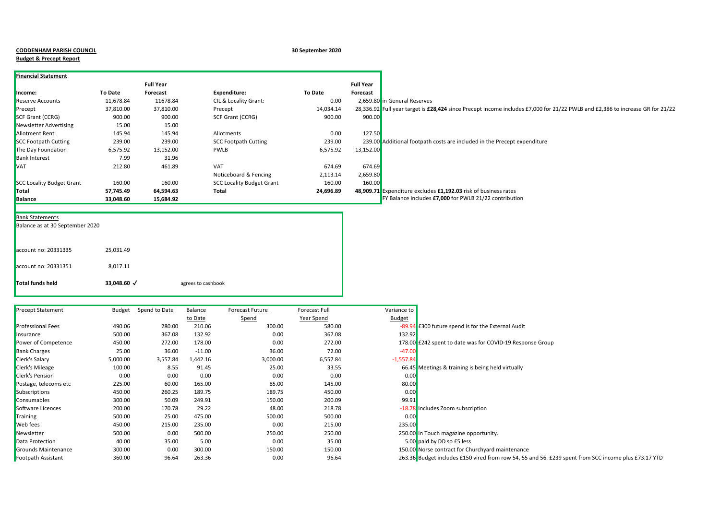|  | <b>CODDENHAM PARISH COUNCI</b> |  |  |
|--|--------------------------------|--|--|
|--|--------------------------------|--|--|

## **Budget & Precept Report**

## **CODDENHAM PARISH COUNCIL 30 September 2020**

| <b>Financial Statement</b>       |                |                  |                                  |           |                  |                                                                                                                               |
|----------------------------------|----------------|------------------|----------------------------------|-----------|------------------|-------------------------------------------------------------------------------------------------------------------------------|
|                                  |                | <b>Full Year</b> |                                  |           | <b>Full Year</b> |                                                                                                                               |
| Income:                          | <b>To Date</b> | Forecast         | Expenditure:                     | To Date   | Forecast         |                                                                                                                               |
| <b>Reserve Accounts</b>          | 11,678.84      | 11678.84         | CIL & Locality Grant:            | 0.00      |                  | 2,659.80 in General Reserves                                                                                                  |
| Precept                          | 37,810.00      | 37,810.00        | Precept                          | 14,034.14 |                  | 28,336.92 Full year target is £28,424 since Precept income includes £7,000 for 21/22 PWLB and £2,386 to increase GR for 21/22 |
| <b>SCF Grant (CCRG)</b>          | 900.00         | 900.00           | SCF Grant (CCRG)                 | 900.00    | 900.00           |                                                                                                                               |
| <b>Newsletter Advertising</b>    | 15.00          | 15.00            |                                  |           |                  |                                                                                                                               |
| <b>Allotment Rent</b>            | 145.94         | 145.94           | Allotments                       | 0.00      | 127.50           |                                                                                                                               |
| <b>SCC Footpath Cutting</b>      | 239.00         | 239.00           | <b>SCC Footpath Cutting</b>      | 239.00    |                  | 239.00 Additional footpath costs are included in the Precept expenditure                                                      |
| The Day Foundation               | 6,575.92       | 13,152.00        | <b>PWLB</b>                      | 6,575.92  | 13,152.00        |                                                                                                                               |
| <b>Bank Interest</b>             | 7.99           | 31.96            |                                  |           |                  |                                                                                                                               |
| <b>VAT</b>                       | 212.80         | 461.89           | <b>VAT</b>                       | 674.69    | 674.69           |                                                                                                                               |
|                                  |                |                  | Noticeboard & Fencing            | 2,113.14  | 2,659.80         |                                                                                                                               |
| <b>SCC Locality Budget Grant</b> | 160.00         | 160.00           | <b>SCC Locality Budget Grant</b> | 160.00    | 160.00           |                                                                                                                               |
| Total                            | 57,745.49      | 64,594.63        | Total                            | 24,696.89 |                  | 48,909.71 Expenditure excludes £1,192.03 risk of business rates                                                               |
| <b>Balance</b>                   | 33,048.60      | 15,684.92        |                                  |           |                  | FY Balance includes £7,000 for PWLB 21/22 contribution                                                                        |

## **Bank Statements**

Balance as at 30 September 2020

| Total funds held     | 33,048.60 √ | agrees to cashbook |
|----------------------|-------------|--------------------|
| account no: 20331351 | 8,017.11    |                    |
| account no: 20331335 | 25.031.49   |                    |
|                      |             |                    |

| <b>Precept Statement</b> | Budget   | Spend to Date | Balance  | Forecast Future | <b>Forecast Full</b> | Variance to   |                                                                                           |
|--------------------------|----------|---------------|----------|-----------------|----------------------|---------------|-------------------------------------------------------------------------------------------|
|                          |          |               | to Date  | Spend           | Year Spend           | <b>Budget</b> |                                                                                           |
| <b>Professional Fees</b> | 490.06   | 280.00        | 210.06   | 300.00          | 580.00               |               | -89.94 £300 future spend is for the External Audit                                        |
| Insurance                | 500.00   | 367.08        | 132.92   | 0.00            | 367.08               | 132.92        |                                                                                           |
| Power of Competence      | 450.00   | 272.00        | 178.00   | 0.00            | 272.00               |               | 178.00 £242 spent to date was for COVID-19 Response Group                                 |
| <b>Bank Charges</b>      | 25.00    | 36.00         | $-11.00$ | 36.00           | 72.00                | $-47.00$      |                                                                                           |
| Clerk's Salary           | 5,000.00 | 3,557.84      | 1,442.16 | 3,000.00        | 6,557.84             | $-1,557.84$   |                                                                                           |
| <b>Clerk's Mileage</b>   | 100.00   | 8.55          | 91.45    | 25.00           | 33.55                |               | 66.45 Meetings & training is being held virtually                                         |
| Clerk's Pension          | 0.00     | 0.00          | 0.00     | 0.00            | 0.00                 | 0.00          |                                                                                           |
| Postage, telecoms etc    | 225.00   | 60.00         | 165.00   | 85.00           | 145.00               | 80.00         |                                                                                           |
| <b>Subscriptions</b>     | 450.00   | 260.25        | 189.75   | 189.75          | 450.00               | 0.00          |                                                                                           |
| <b>Consumables</b>       | 300.00   | 50.09         | 249.91   | 150.00          | 200.09               | 99.91         |                                                                                           |
| Software Licences        | 200.00   | 170.78        | 29.22    | 48.00           | 218.78               |               | -18.78 Includes Zoom subscription                                                         |
| Training                 | 500.00   | 25.00         | 475.00   | 500.00          | 500.00               | 0.00          |                                                                                           |
| <b>Web</b> fees          | 450.00   | 215.00        | 235.00   | 0.00            | 215.00               | 235.00        |                                                                                           |
| Newsletter               | 500.00   | 0.00          | 500.00   | 250.00          | 250.00               |               | 250.00 In Touch magazine opportunity.                                                     |
| Data Protection          | 40.00    | 35.00         | 5.00     | 0.00            | 35.00                |               | 5.00 paid by DD so £5 less                                                                |
| Grounds Maintenance      | 300.00   | 0.00          | 300.00   | 150.00          | 150.00               |               | 150.00 Norse contract for Churchyard maintenance                                          |
| Footpath Assistant       | 360.00   | 96.64         | 263.36   | 0.00            | 96.64                |               | 263.36 Budget includes £150 vired from row 54, 55 and 56. £239 spent from SCC income plus |
|                          |          |               |          |                 |                      |               |                                                                                           |

| Variance to   |                                                                                                       |
|---------------|-------------------------------------------------------------------------------------------------------|
| <b>Budget</b> |                                                                                                       |
|               | -89.94 £300 future spend is for the External Audit                                                    |
| 132.92        |                                                                                                       |
|               | 178.00 £242 spent to date was for COVID-19 Response Group                                             |
| $-47.00$      |                                                                                                       |
| $-1,557.84$   |                                                                                                       |
|               | 66.45 Meetings & training is being held virtually                                                     |
| 0.00          |                                                                                                       |
| 80.00         |                                                                                                       |
| 0.00          |                                                                                                       |
| 99.91         |                                                                                                       |
|               | -18.78 Includes Zoom subscription                                                                     |
| 0.00          |                                                                                                       |
| 235.00        |                                                                                                       |
|               | 250.00 In Touch magazine opportunity.                                                                 |
|               | 5.00 paid by DD so £5 less                                                                            |
|               | 150.00 Norse contract for Churchyard maintenance                                                      |
|               | 263 36 Budget includes £150 vired from row 54, 55 and 56, £239 spent from SCC income plus £73, 17 YTD |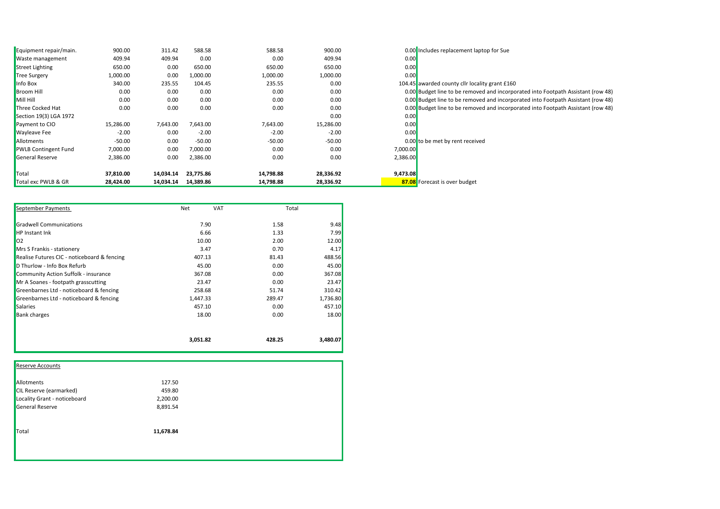| Equipment repair/main.      | 900.00    | 311.42    | 588.58    | 588.58    | 900.00    |          | 0.00 Includes replacement laptop for Sue                                         |
|-----------------------------|-----------|-----------|-----------|-----------|-----------|----------|----------------------------------------------------------------------------------|
| <b>Naste management</b>     | 409.94    | 409.94    | 0.00      | 0.00      | 409.94    | 0.00     |                                                                                  |
| Street Lighting             | 650.00    | 0.00      | 650.00    | 650.00    | 650.00    | 0.00     |                                                                                  |
| <b>Tree Surgery</b>         | 1,000.00  | 0.00      | 1,000.00  | 1,000.00  | 1,000.00  | 0.00     |                                                                                  |
| Info Box                    | 340.00    | 235.55    | 104.45    | 235.55    | 0.00      |          | 104.45 awarded county cllr locality grant £160                                   |
| <b>Broom Hill</b>           | 0.00      | 0.00      | 0.00      | 0.00      | 0.00      |          | 0.00 Budget line to be removed and incorporated into Footpath Assistant (row 48) |
| Mill Hill                   | 0.00      | 0.00      | 0.00      | 0.00      | 0.00      |          | 0.00 Budget line to be removed and incorporated into Footpath Assistant (row 48) |
| Three Cocked Hat            | 0.00      | 0.00      | 0.00      | 0.00      | 0.00      |          | 0.00 Budget line to be removed and incorporated into Footpath Assistant (row 48) |
| Section 19(3) LGA 1972      |           |           |           |           | 0.00      | 0.00     |                                                                                  |
| Payment to CIO              | 15,286.00 | 7,643.00  | 7,643.00  | 7,643.00  | 15,286.00 | 0.00     |                                                                                  |
| <b>Wayleave Fee</b>         | $-2.00$   | 0.00      | $-2.00$   | $-2.00$   | $-2.00$   | 0.00     |                                                                                  |
| <b>Allotments</b>           | $-50.00$  | 0.00      | $-50.00$  | $-50.00$  | $-50.00$  |          | 0.00 to be met by rent received                                                  |
| <b>PWLB Contingent Fund</b> | 7,000.00  | 0.00      | 7,000.00  | 0.00      | 0.00      | 7,000.00 |                                                                                  |
| General Reserve             | 2,386.00  | 0.00      | 2,386.00  | 0.00      | 0.00      | 2,386.00 |                                                                                  |
| Total                       | 37,810.00 | 14,034.14 | 23,775.86 | 14,798.88 | 28,336.92 | 9,473.08 |                                                                                  |
| Total exc PWLB & GR         | 28,424.00 | 14,034.14 | 14,389.86 | 14,798.88 | 28,336.92 |          | 87.08 Forecast is over budget                                                    |

| September Payments                          | Net      | <b>VAT</b> | Total    |
|---------------------------------------------|----------|------------|----------|
| Gradwell Communications                     | 7.90     | 1.58       | 9.48     |
| <b>HP</b> Instant Ink                       | 6.66     | 1.33       | 7.99     |
| 02                                          | 10.00    | 2.00       | 12.00    |
| Mrs S Frankis - stationery                  | 3.47     | 0.70       | 4.17     |
| Realise Futures CIC - noticeboard & fencing | 407.13   | 81.43      | 488.56   |
| D Thurlow - Info Box Refurb                 | 45.00    | 0.00       | 45.00    |
| Community Action Suffolk - insurance        | 367.08   | 0.00       | 367.08   |
| Mr A Soanes - footpath grasscutting         | 23.47    | 0.00       | 23.47    |
| Greenbarnes Ltd - noticeboard & fencing     | 258.68   | 51.74      | 310.42   |
| Greenbarnes Ltd - noticeboard & fencing     | 1,447.33 | 289.47     | 1,736.80 |
| <b>Salaries</b>                             | 457.10   | 0.00       | 457.10   |
| <b>Bank charges</b>                         | 18.00    | 0.00       | 18.00    |
|                                             | 3,051.82 | 428.25     | 3,480.07 |

| <b>Reserve Accounts</b>        |           |  |
|--------------------------------|-----------|--|
| Allotments                     | 127.50    |  |
| <b>CIL Reserve (earmarked)</b> | 459.80    |  |
| Locality Grant - noticeboard   | 2,200.00  |  |
| General Reserve                | 8,891.54  |  |
| Total                          | 11,678.84 |  |
|                                |           |  |